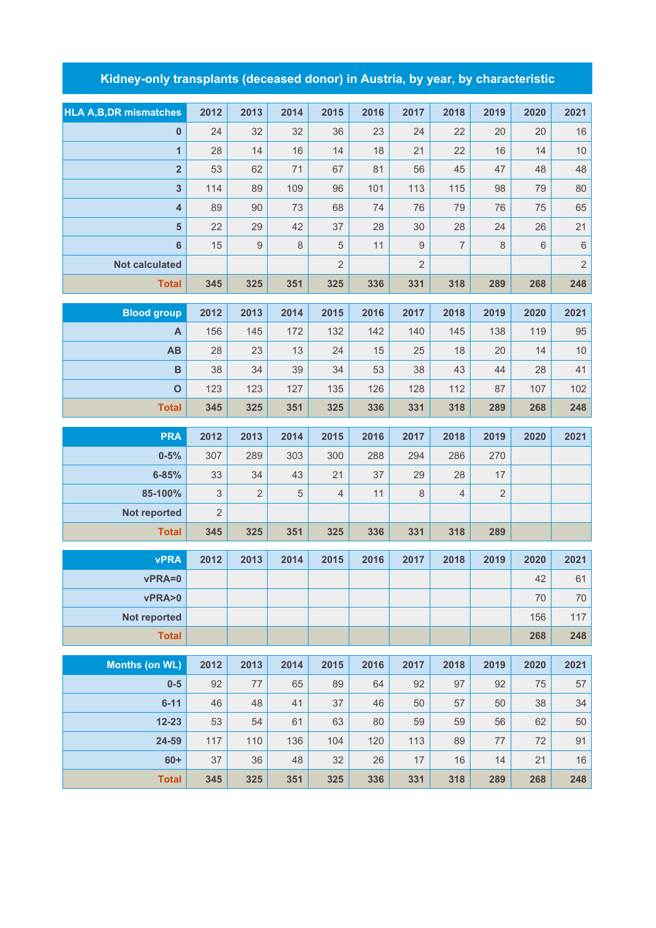## **Kidney-only transplants (deceased donor) in Austria, by year, by characteristic**

| <b>HLA A, B, DR mismatches</b> | 2012           | 2013           | 2014 | 2015           | 2016 | 2017           | 2018           | 2019           | 2020        | 2021       |
|--------------------------------|----------------|----------------|------|----------------|------|----------------|----------------|----------------|-------------|------------|
| $\pmb{0}$                      | 24             | 32             | 32   | 36             | 23   | 24             | 22             | 20             | 20          | 16         |
| $\overline{1}$                 | 28             | 14             | 16   | 14             | 18   | 21             | 22             | 16             | 14          | 10         |
| $\overline{\mathbf{2}}$        | 53             | 62             | 71   | 67             | 81   | 56             | 45             | 47             | 48          | 48         |
| $\overline{\mathbf{3}}$        | 114            | 89             | 109  | 96             | 101  | 113            | 115            | 98             | 79          | 80         |
| $\overline{\mathbf{4}}$        | 89             | 90             | 73   | 68             | 74   | 76             | 79             | 76             | 75          | 65         |
| $\overline{\mathbf{5}}$        | 22             | 29             | 42   | 37             | 28   | 30             | 28             | 24             | 26          | 21         |
| $6\phantom{a}$                 | 15             | 9              | 8    | 5              | 11   | 9              | $\overline{7}$ | 8              | $\,$ 6 $\,$ | $\,6\,$    |
| <b>Not calculated</b>          |                |                |      | $\overline{2}$ |      | $\overline{2}$ |                |                |             | $\sqrt{2}$ |
| <b>Total</b>                   | 345            | 325            | 351  | 325            | 336  | 331            | 318            | 289            | 268         | 248        |
|                                |                |                |      |                |      |                |                |                |             |            |
| <b>Blood group</b>             | 2012           | 2013           | 2014 | 2015           | 2016 | 2017           | 2018           | 2019           | 2020        | 2021       |
| A                              | 156            | 145            | 172  | 132            | 142  | 140            | 145            | 138            | 119         | 95         |
| AB                             | 28             | 23             | 13   | 24             | 15   | 25             | 18             | 20             | 14          | $10$       |
| $\overline{B}$                 | 38             | 34             | 39   | 34             | 53   | 38             | 43             | 44             | 28          | 41         |
| $\mathbf{o}$                   | 123            | 123            | 127  | 135            | 126  | 128            | 112            | 87             | 107         | 102        |
| <b>Total</b>                   | 345            | 325            | 351  | 325            | 336  | 331            | 318            | 289            | 268         | 248        |
| <b>PRA</b>                     | 2012           | 2013           | 2014 | 2015           | 2016 | 2017           | 2018           | 2019           | 2020        | 2021       |
| $0 - 5%$                       | 307            | 289            | 303  | 300            | 288  | 294            | 286            | 270            |             |            |
| $6 - 85%$                      | 33             | 34             | 43   | 21             | 37   | 29             | 28             | 17             |             |            |
| 85-100%                        | $\mathfrak{S}$ | $\overline{2}$ | 5    | $\overline{4}$ | 11   | $\,8\,$        | $\overline{4}$ | $\overline{2}$ |             |            |
| Not reported                   | $\overline{2}$ |                |      |                |      |                |                |                |             |            |
| <b>Total</b>                   | 345            | 325            | 351  | 325            | 336  | 331            | 318            | 289            |             |            |
| <b>vPRA</b>                    | 2012           | 2013           | 2014 | 2015           | 2016 | 2017           | 2018           | 2019           | 2020        | 2021       |
| vPRA=0                         |                |                |      |                |      |                |                |                | 42          | 61         |
| vPRA>0                         |                |                |      |                |      |                |                |                | 70          | $70\,$     |
| Not reported                   |                |                |      |                |      |                |                |                | 156         | 117        |
| <b>Total</b>                   |                |                |      |                |      |                |                |                | 268         | 248        |
|                                |                |                |      |                |      |                |                |                |             |            |
| <b>Months (on WL)</b>          | 2012           | 2013           | 2014 | 2015           | 2016 | 2017           | 2018           | 2019           | 2020        | 2021       |
| $0-5$                          | 92             | 77             | 65   | 89             | 64   | 92             | 97             | 92             | 75          | 57         |
| $6 - 11$                       | 46             | 48             | 41   | 37             | 46   | 50             | 57             | 50             | 38          | 34         |

| <b>Total</b> | 345 | 325 | 351 | 325 | 336 | 331 | 318 | 289 | 268 | 248 |
|--------------|-----|-----|-----|-----|-----|-----|-----|-----|-----|-----|
| $60+$        | 37  | 36  | 48  | 32  | 26  | 17  | 16  | 14  | 21  | 16  |
| 24-59        | 117 | 110 | 136 | 104 | 120 | 113 | 89  | 77  | 72  | 91  |
| $12 - 23$    | 53  | 54  | 61  | 63  | 80  | 59  | 59  | 56  | 62  | 50  |
| $6 - 11$     | 46  | 48  | 41  | 37  | 46  | 50  | 57  | 50  | 38  | 34  |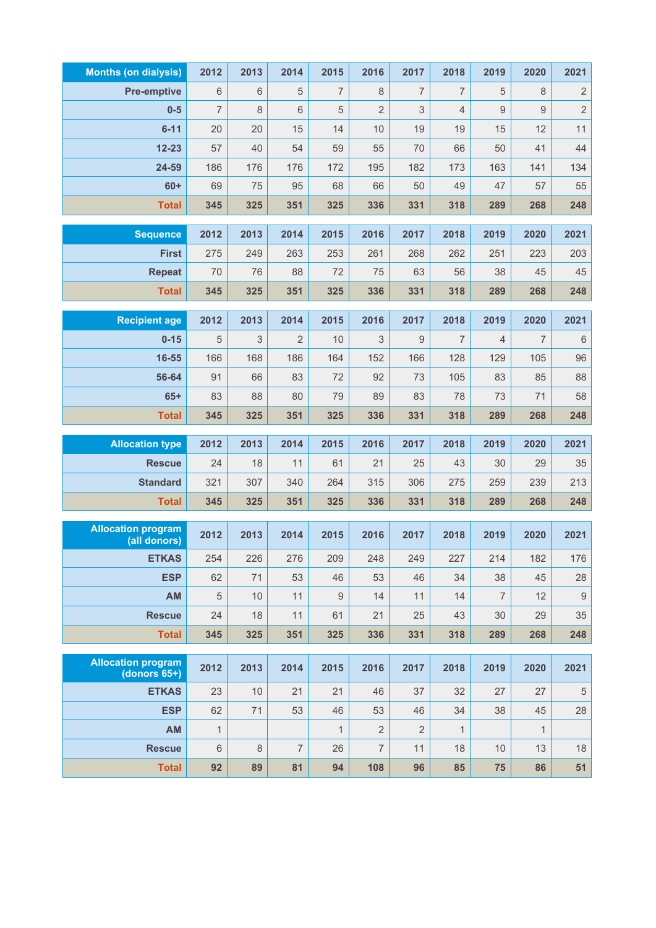| <b>Months (on dialysis)</b>    | 2012           | 2013      | 2014           | 2015           | 2016           | 2017           | 2018           | 2019           | 2020           | 2021             |
|--------------------------------|----------------|-----------|----------------|----------------|----------------|----------------|----------------|----------------|----------------|------------------|
| <b>Pre-emptive</b>             | 6              | 6         | 5              | $\overline{7}$ | 8              | $\overline{7}$ | $\overline{7}$ | 5              | 8              | $\sqrt{2}$       |
| $0-5$                          | $\overline{7}$ | 8         | 6              | 5              | $\overline{2}$ | 3              | $\overline{4}$ | 9              | $9\,$          | $\overline{c}$   |
| $6 - 11$                       | 20             | 20        | 15             | 14             | 10             | 19             | 19             | 15             | 12             | 11               |
| $12 - 23$                      | 57             | 40        | 54             | 59             | 55             | 70             | 66             | 50             | 41             | 44               |
| 24-59                          | 186            | 176       | 176            | 172            | 195            | 182            | 173            | 163            | 141            | 134              |
| $60+$                          | 69             | 75        | 95             | 68             | 66             | 50             | 49             | 47             | 57             | 55               |
| <b>Total</b>                   | 345            | 325       | 351            | 325            | 336            | 331            | 318            | 289            | 268            | 248              |
| <b>Sequence</b>                | 2012           | 2013      | 2014           | 2015           | 2016           | 2017           | 2018           | 2019           | 2020           | 2021             |
| <b>First</b>                   | 275            | 249       | 263            | 253            | 261            | 268            | 262            | 251            | 223            | 203              |
| <b>Repeat</b>                  | 70             | 76        | 88             | 72             | 75             | 63             | 56             | 38             | 45             | 45               |
| <b>Total</b>                   | 345            | 325       | 351            | 325            | 336            | 331            | 318            | 289            | 268            | 248              |
|                                |                |           |                |                |                |                |                |                |                |                  |
| <b>Recipient age</b>           | 2012           | 2013      | 2014           | 2015           | 2016           | 2017           | 2018           | 2019           | 2020           | 2021             |
| $0 - 15$                       | 5              | 3         | $\overline{2}$ | 10             | 3              | 9              | 7              | $\overline{4}$ | $\overline{7}$ | $\,6\,$          |
| 16-55                          | 166            | 168       | 186            | 164            | 152            | 166            | 128            | 129            | 105            | 96               |
| 56-64                          | 91             | 66        | 83             | 72             | 92             | 73             | 105            | 83             | 85             | 88               |
| $65+$<br><b>Total</b>          | 83<br>345      | 88<br>325 | 80<br>351      | 79<br>325      | 89<br>336      | 83<br>331      | 78<br>318      | 73<br>289      | 71<br>268      | 58<br>248        |
|                                |                |           |                |                |                |                |                |                |                |                  |
| <b>Allocation type</b>         | 2012           | 2013      | 2014           | 2015           | 2016           | 2017           | 2018           | 2019           | 2020           | 2021             |
| <b>Rescue</b>                  | 24             | 18        | 11             | 61             | 21             | 25             | 43             | 30             | 29             | 35               |
| <b>Standard</b>                | 321            | 307       | 340            | 264            | 315            | 306            | 275            | 259            | 239            | 213              |
| <b>Total</b>                   | 345            | 325       | 351            | 325            | 336            | 331            | 318            | 289            | 268            | 248              |
| <b>Allocation program</b>      |                |           |                |                |                |                |                |                |                |                  |
| (all donors)                   | 2012           | 2013      | 2014           | 2015           | 2016           | 2017           | 2018           | 2019           | 2020           | 2021             |
| <b>ETKAS</b>                   | 254            | 226       | 276            | 209            | 248            | 249            | 227            | 214            | 182            | 176              |
| <b>ESP</b>                     | 62             | 71        | 53             | 46             | 53             | 46             | 34             | 38             | 45             | 28               |
| AM                             | $\sqrt{5}$     | 10        | 11             | 9              | 14             | 11             | 14             | $\overline{7}$ | 12             | $\boldsymbol{9}$ |
| <b>Rescue</b>                  | 24             | 18        | 11             | 61             | 21             | 25             | 43             | 30             | 29             | 35               |
| <b>Total</b>                   | 345            | 325       | 351            | 325            | 336            | 331            | 318            | 289            | 268            | 248              |
| <b>Allocation program</b>      | 2012           | 2013      | 2014           | 2015           | 2016           | 2017           | 2018           | 2019           | 2020           | 2021             |
| $(donors 65+)$<br><b>ETKAS</b> | 23             | 10        | 21             | 21             | 46             | 37             | 32             | 27             | 27             | $\,$ 5 $\,$      |
| <b>ESP</b>                     | 62             | 71        | 53             | 46             | 53             | 46             | 34             | 38             | 45             | 28               |
| AM                             | $\mathbf{1}$   |           |                | $\mathbf{1}$   | $\overline{2}$ | $\overline{2}$ | $\mathbf{1}$   |                | $\mathbf{1}$   |                  |
| <b>Rescue</b>                  | $\,6$          | $\,8\,$   | $\overline{7}$ | 26             | $\overline{7}$ | 11             | 18             | 10             | 13             | 18               |
| <b>Total</b>                   | 92             | 89        | 81             | 94             | 108            | 96             | 85             | 75             | 86             | 51               |